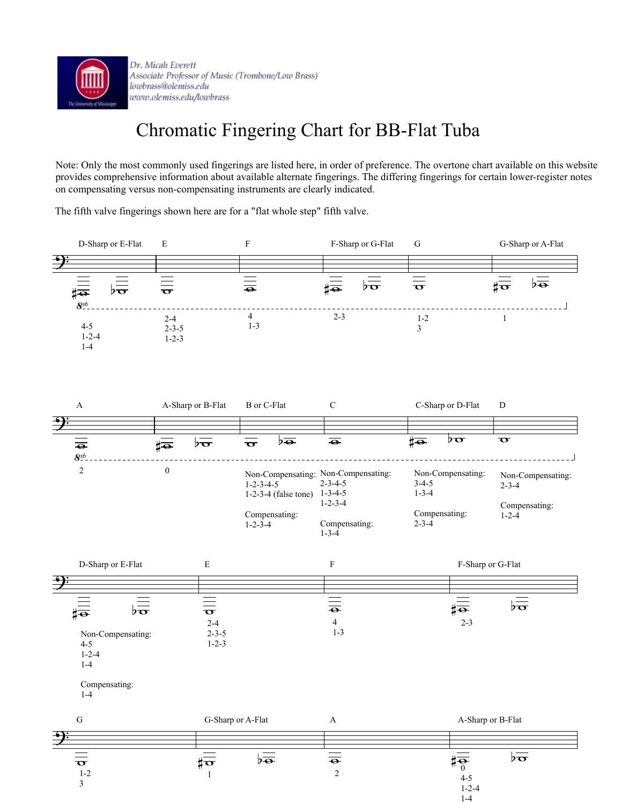

Dr. Micah Everett Associate Professor of Music (Trombone/Low Brass) lowbrass@olemiss.edu www.olemiss.edu/lowbrass

## Chromatic Fingering Chart for BB-Flat Tuba

Note: Only the most commonly used fingerings are listed here, in order of preference. The overtone chart available on this website provides comprehensive information about available alternate fingerings. The differing fingerings for certain lower-register notes on compensating versus non-compensating instruments are clearly indicated.

The fifth valve fingerings shown here are for a "flat whole step" fifth valve.